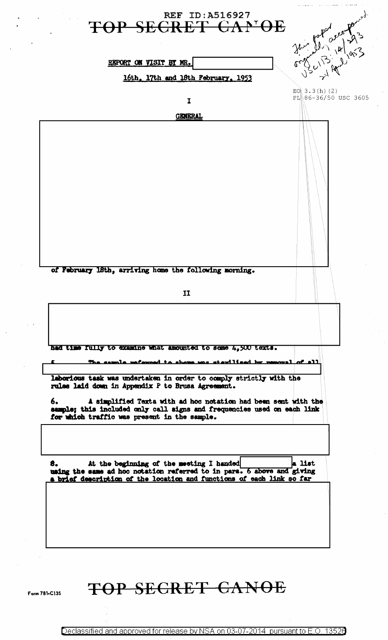

TOP SECRET CANOE

Form 781-C135

Declassified and approved for release by NSA on 03-07-2014 pursuant to E.O. 13526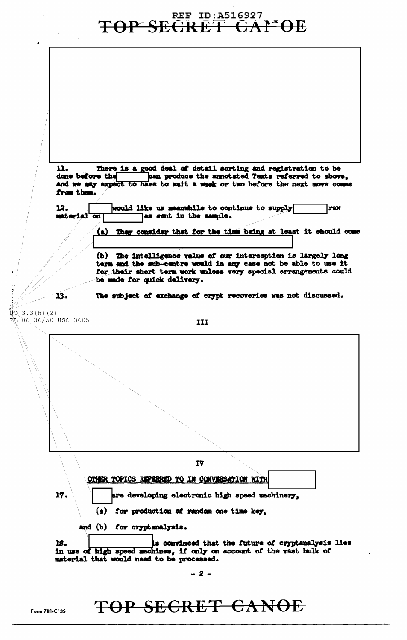**TOP SECRET GAPOE** There is a good deal of detail sorting and registration to be n. can produce the annotated Texta referred to above, done before the and we may expect to have to wait a week or two before the next move comes from them. 12. would like us meanwhile to continue to supply **raw** material on as sent in the sample. <u>(a)</u> They consider that for the time being at least it should come (b) The intelligence value of our interception is largely long term and the sub-centre would in any case not be able to use it for their short term work unless very special arrangements could be made for quick delivery. 13. The subject of exchange of crypt recoveries was not discussed.  $H<sub>O</sub>$  $3.3(h)$  (2) PL 86-36/50 USC 3605 III IV OTHER TOPICS REPERRED TO IN CONVERSATION WITH 17. are developing electronic high speed machinery. (a) for production of random one time key, and (b) for cryptanalysis. s convinced that the future of cryptanalysis lies 18. in use of high speed machines, if only on account of the vast bulk of material that would need to be processed.  $-2-$ 

## TOP SECRET CANOE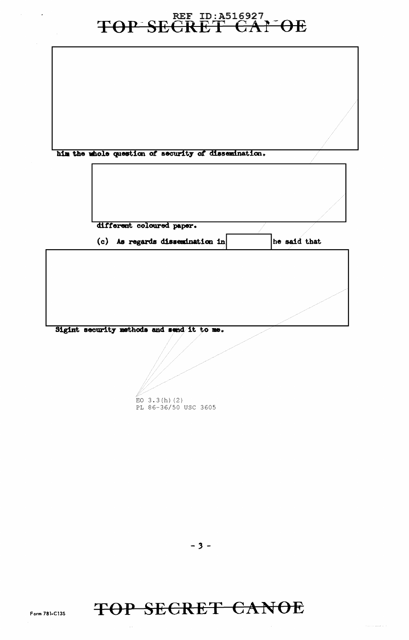## TOP SECRET GAI OE

| him the whole question of security of dissemination. |              |
|------------------------------------------------------|--------------|
|                                                      |              |
| different coloured paper.                            |              |
| (c) As regards dissemination in                      | he said that |
|                                                      |              |
|                                                      |              |
| Sigint security methods and send it to me.           |              |
| EO $3.3(h)$ (2)<br>PL 86-36/50 USC 3605              |              |

TOP SECRET CANOE

 $\sim 10$ 

 $\Gamma$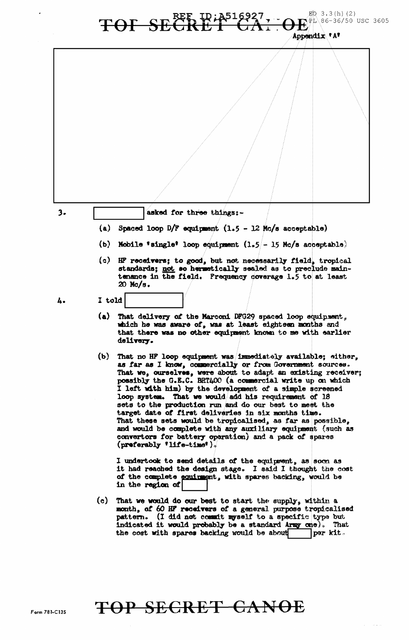

## TOF SECRET LEA Appendix 'A'

 $3.$ 

asked for three things:-

- (a) Spaced loop D/F equipment  $(1.5 12)$  Mc/s acceptable)
- (b) Mobile 'single' loop equipment  $(1.5/-15$  Mc/s acceptable)
- (c) HF receivers; to good, but not necessarily field, tropical standards; not so hermetically sealed as to preciude main-<br>tenance in the field. Frequency coverage 1.5 to at least 20 Mc/s.
- 4.

I told

- (a) That delivery of the Marconi DFG29 spaced loop equipment, which he was aware of, was at least eighteen months and that there was no other equipment known to me with earlier delivery.
- (b) That no HF loop equipment was immediately available; either, as far as I know, commercially or from Government sources. That we, ourselves, were about to adapt an existing receiver; possibly the G.E.C. BRT400 (a commercial write up on which I left with him) by the development of a simple screened loop system. That we would add his requirement of 18 sets to the production run and do our best to meet the target date of first deliveries in six months time. That these sets would be tropicalised, as far as possible, and would be complete with any auxiliary equipment (such as convertors for battery operation) and a pack of spares (preferably 'life-time').

I undertook to send details of the equipment, as soon as it had reached the design stage. I said I thought the cost of the complete equirement, with spares backing, would be in the region of

(c) That we would do our best to start the supply, within a month, of 60 HF receivers of a general purpose tropicalised pattern. (I did not commit myself to a specific type but indicated it would probably be a standard Army one). That the cost with spares backing would be about per kit.

## TOP SECRET CANOE